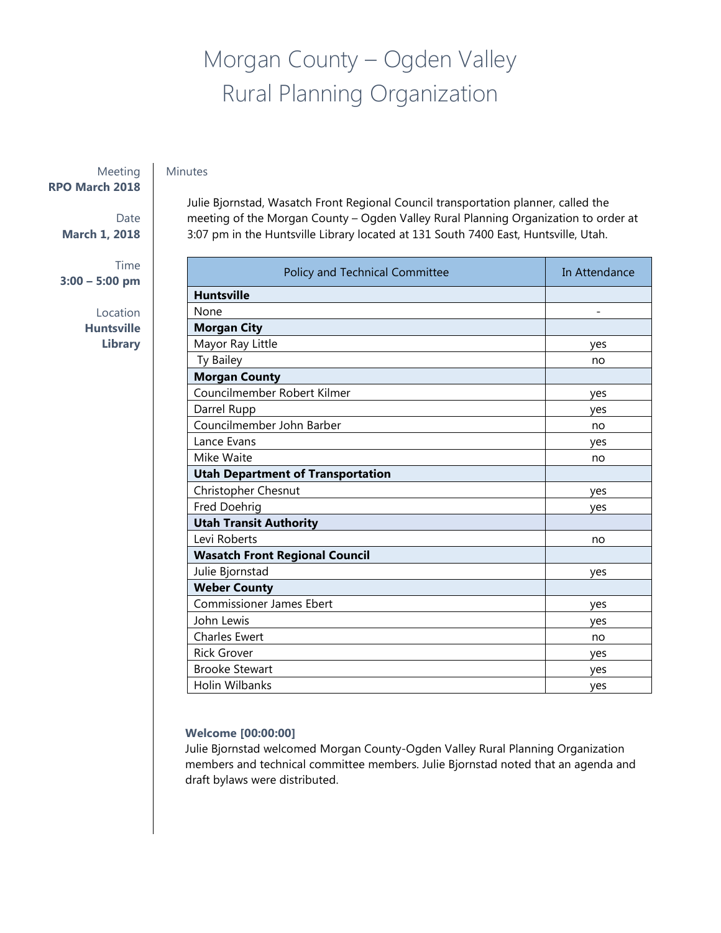# Morgan County – Ogden Valley Rural Planning Organization

# Minutes

Meeting **RPO March 2018** 

> Date **March 1, 2018**

Time **3:00 – 5:00 pm** 

> Location **Huntsville**

**Library**

Julie Bjornstad, Wasatch Front Regional Council transportation planner, called the meeting of the Morgan County – Ogden Valley Rural Planning Organization to order at 3:07 pm in the Huntsville Library located at 131 South 7400 East, Huntsville, Utah.

| Policy and Technical Committee           | In Attendance |
|------------------------------------------|---------------|
| <b>Huntsville</b>                        |               |
| None                                     |               |
| <b>Morgan City</b>                       |               |
| Mayor Ray Little                         | ves           |
| Ty Bailey                                | no            |
| <b>Morgan County</b>                     |               |
| Councilmember Robert Kilmer              | yes           |
| Darrel Rupp                              | yes           |
| Councilmember John Barber                | no            |
| Lance Evans                              | yes           |
| Mike Waite                               | no            |
| <b>Utah Department of Transportation</b> |               |
| Christopher Chesnut                      | yes           |
| Fred Doehrig                             | yes           |
| <b>Utah Transit Authority</b>            |               |
| Levi Roberts                             | no            |
| <b>Wasatch Front Regional Council</b>    |               |
| Julie Bjornstad                          | yes           |
| <b>Weber County</b>                      |               |
| <b>Commissioner James Ebert</b>          | yes           |
| John Lewis                               | yes           |
| <b>Charles Ewert</b>                     | no            |
| <b>Rick Grover</b>                       | yes           |
| <b>Brooke Stewart</b>                    | yes           |
| Holin Wilbanks                           | yes           |

## **Welcome [00:00:00]**

Julie Bjornstad welcomed Morgan County-Ogden Valley Rural Planning Organization members and technical committee members. Julie Bjornstad noted that an agenda and draft bylaws were distributed.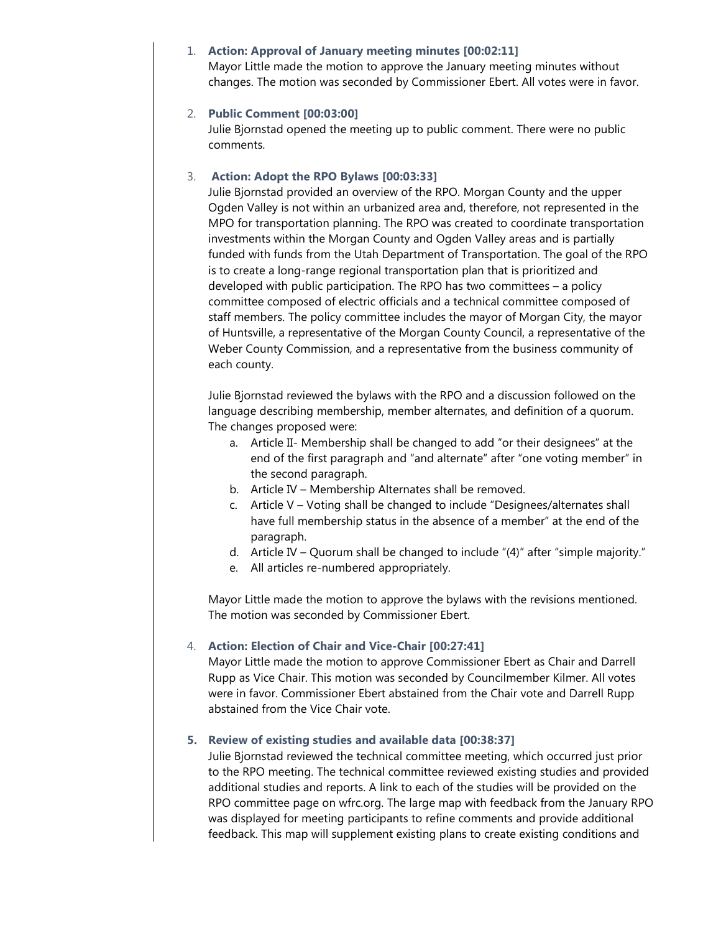#### 1. **Action: Approval of January meeting minutes [00:02:11]**

Mayor Little made the motion to approve the January meeting minutes without changes. The motion was seconded by Commissioner Ebert. All votes were in favor.

## 2. **Public Comment [00:03:00]**

Julie Bjornstad opened the meeting up to public comment. There were no public comments.

# 3. **Action: Adopt the RPO Bylaws [00:03:33]**

Julie Bjornstad provided an overview of the RPO. Morgan County and the upper Ogden Valley is not within an urbanized area and, therefore, not represented in the MPO for transportation planning. The RPO was created to coordinate transportation investments within the Morgan County and Ogden Valley areas and is partially funded with funds from the Utah Department of Transportation. The goal of the RPO is to create a long-range regional transportation plan that is prioritized and developed with public participation. The RPO has two committees – a policy committee composed of electric officials and a technical committee composed of staff members. The policy committee includes the mayor of Morgan City, the mayor of Huntsville, a representative of the Morgan County Council, a representative of the Weber County Commission, and a representative from the business community of each county.

Julie Bjornstad reviewed the bylaws with the RPO and a discussion followed on the language describing membership, member alternates, and definition of a quorum. The changes proposed were:

- a. Article II- Membership shall be changed to add "or their designees" at the end of the first paragraph and "and alternate" after "one voting member" in the second paragraph.
- b. Article IV Membership Alternates shall be removed.
- c. Article V Voting shall be changed to include "Designees/alternates shall have full membership status in the absence of a member" at the end of the paragraph.
- d. Article IV Quorum shall be changed to include "(4)" after "simple majority."
- e. All articles re-numbered appropriately.

Mayor Little made the motion to approve the bylaws with the revisions mentioned. The motion was seconded by Commissioner Ebert.

## 4. **Action: Election of Chair and Vice-Chair [00:27:41]**

Mayor Little made the motion to approve Commissioner Ebert as Chair and Darrell Rupp as Vice Chair. This motion was seconded by Councilmember Kilmer. All votes were in favor. Commissioner Ebert abstained from the Chair vote and Darrell Rupp abstained from the Vice Chair vote.

## **5. Review of existing studies and available data [00:38:37]**

Julie Bjornstad reviewed the technical committee meeting, which occurred just prior to the RPO meeting. The technical committee reviewed existing studies and provided additional studies and reports. A link to each of the studies will be provided on the RPO committee page on wfrc.org. The large map with feedback from the January RPO was displayed for meeting participants to refine comments and provide additional feedback. This map will supplement existing plans to create existing conditions and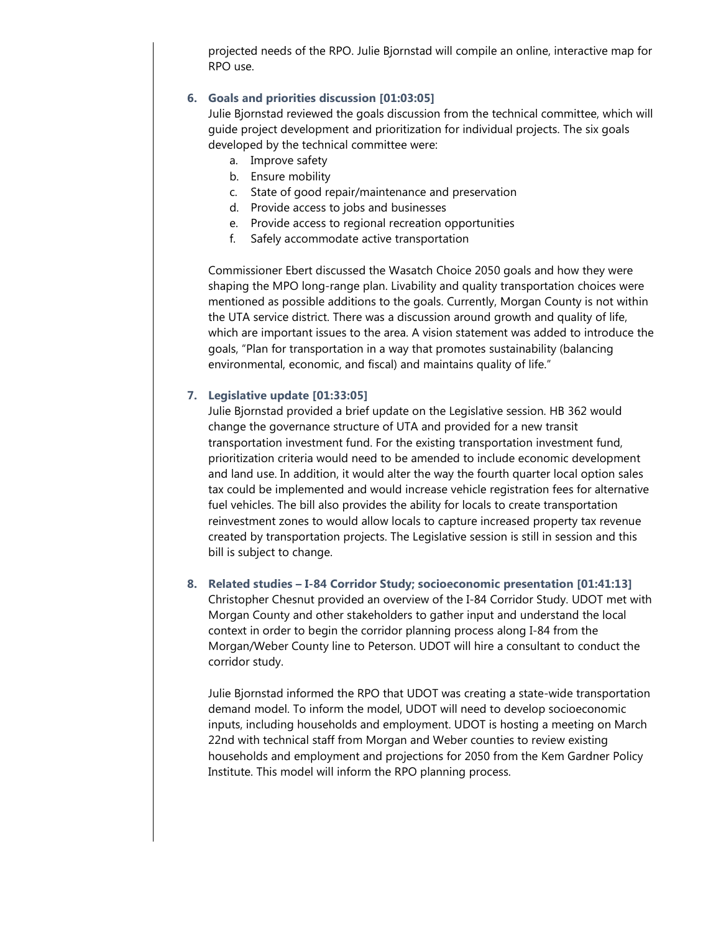projected needs of the RPO. Julie Bjornstad will compile an online, interactive map for RPO use.

# **6. Goals and priorities discussion [01:03:05]**

Julie Bjornstad reviewed the goals discussion from the technical committee, which will guide project development and prioritization for individual projects. The six goals developed by the technical committee were:

- a. Improve safety
- b. Ensure mobility
- c. State of good repair/maintenance and preservation
- d. Provide access to jobs and businesses
- e. Provide access to regional recreation opportunities
- f. Safely accommodate active transportation

Commissioner Ebert discussed the Wasatch Choice 2050 goals and how they were shaping the MPO long-range plan. Livability and quality transportation choices were mentioned as possible additions to the goals. Currently, Morgan County is not within the UTA service district. There was a discussion around growth and quality of life, which are important issues to the area. A vision statement was added to introduce the goals, "Plan for transportation in a way that promotes sustainability (balancing environmental, economic, and fiscal) and maintains quality of life."

#### **7. Legislative update [01:33:05]**

Julie Bjornstad provided a brief update on the Legislative session. HB 362 would change the governance structure of UTA and provided for a new transit transportation investment fund. For the existing transportation investment fund, prioritization criteria would need to be amended to include economic development and land use. In addition, it would alter the way the fourth quarter local option sales tax could be implemented and would increase vehicle registration fees for alternative fuel vehicles. The bill also provides the ability for locals to create transportation reinvestment zones to would allow locals to capture increased property tax revenue created by transportation projects. The Legislative session is still in session and this bill is subject to change.

#### **8. Related studies – I-84 Corridor Study; socioeconomic presentation [01:41:13]**

Christopher Chesnut provided an overview of the I-84 Corridor Study. UDOT met with Morgan County and other stakeholders to gather input and understand the local context in order to begin the corridor planning process along I-84 from the Morgan/Weber County line to Peterson. UDOT will hire a consultant to conduct the corridor study.

Julie Bjornstad informed the RPO that UDOT was creating a state-wide transportation demand model. To inform the model, UDOT will need to develop socioeconomic inputs, including households and employment. UDOT is hosting a meeting on March 22nd with technical staff from Morgan and Weber counties to review existing households and employment and projections for 2050 from the Kem Gardner Policy Institute. This model will inform the RPO planning process.